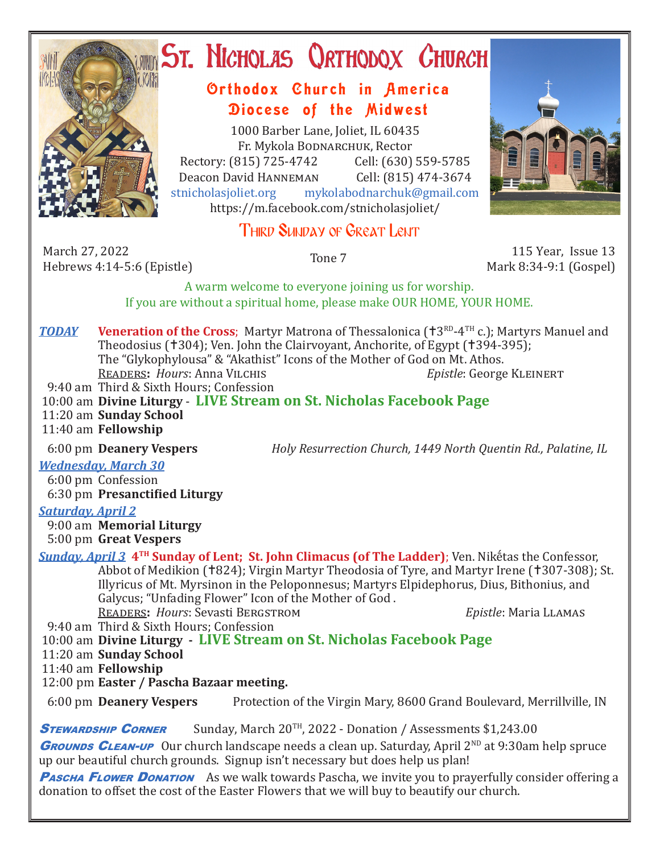

# ST. NICHOLAS QRTHODOX CHURCH

## Orthodox Church in America Diocese of the Midwest

1000 Barber Lane, Joliet, IL 60435 Fr. Mykola Bodnarchuk, Rector Rectory: (815) 725-4742 Cell: (630) 559-5785<br>Deacon David HANNEMAN Cell: (815) 474-3674 Deacon David Hanneman<br>stnicholasioliet.org mykola mykolabodnarchuk@gmail.com https://m.facebook.com/stnicholasjoliet/

## Third Sunday of Great Lent

March 27, 2022 March 27, 2022<br>
Hebrews 4:14-5:6 (Epistle) Tone 7 115 Year, Issue 13<br>
Hebrews 4:14-5:6 (Epistle)

Mark 8:34-9:1 (Gospel)

A warm welcome to everyone joining us for worship. If you are without a spiritual home, please make OUR HOME, YOUR HOME.

**TODAY** Veneration of the Cross; Martyr Matrona of Thessalonica ( $\text{t}3^{RD}$ -4<sup>TH</sup> c.); Martyrs Manuel and Theodosius (†304); Ven. John the Clairvoyant, Anchorite, of Egypt (†394-395); The "Glykophylousa" & "Akathist" Icons of the Mother of God on Mt. Athos.<br>READERS: Hours: Anna VILCHIS Epistle: George KLEINERT READERS: Hours: Anna VILCHIS 9:40 am Third & Sixth Hours; Confession

- 10:00 am **Divine Liturgy LIVE Stream on St. Nicholas Facebook Page**
- 11:20 am **Sunday School**

11:40 am **Fellowship**

6:00 pm **Deanery Vespers** *Holy Resurrection Church, 1449 North Quentin Rd., Palatine, IL*

*Wednesday, March 30* 

 6:00 pm Confession 6:30 pm **Presanctified Liturgy**

#### *Saturday, April 2*

9:00 am **Memorial Liturgy**

5:00 pm **Great Vespers**

*Sunday, April 3* **4TH Sunday of Lent; St. John Climacus (of The Ladder)**; Ven. Nikḗtas the Confessor, Abbot of Medikion (†824); Virgin Martyr Theodosia of Tyre, and Martyr Irene (†307-308); St. Illyricus of Mt. Myrsinon in the Peloponnesus; Martyrs Elpidephorus, Dius, Bithonius, and Galycus; "Unfading Flower" Icon of the Mother of God .

Readers**:** *Hours*: Sevasti Bergstrom *Epistle*: Maria Llamas

9:40 am Third & Sixth Hours; Confession

10:00 am **Divine Liturgy - LIVE Stream on St. Nicholas Facebook Page**

11:20 am **Sunday School**

11:40 am **Fellowship**

12:00 pm **Easter / Pascha Bazaar meeting.**

6:00 pm **Deanery Vespers** Protection of the Virgin Mary, 8600 Grand Boulevard, Merrillville, IN

**STEWARDSHIP CORNER** Sunday, March 20<sup>TH</sup>, 2022 - Donation / Assessments \$1,243.00

**GROUNDS CLEAN-UP** Our church landscape needs a clean up. Saturday, April 2<sup>ND</sup> at 9:30am help spruce up our beautiful church grounds. Signup isn't necessary but does help us plan!

**PASCHA FLOWER DONATION** As we walk towards Pascha, we invite you to prayerfully consider offering a donation to offset the cost of the Easter Flowers that we will buy to beautify our church.